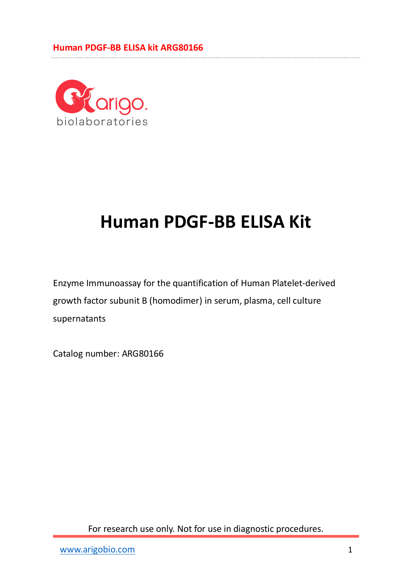#### **Human PDGF-BB ELISA kit ARG80166**



# **Human PDGF-BB ELISA Kit**

Enzyme Immunoassay for the quantification of Human Platelet-derived growth factor subunit B (homodimer) in serum, plasma, cell culture supernatants

Catalog number: ARG80166

For research use only. Not for use in diagnostic procedures.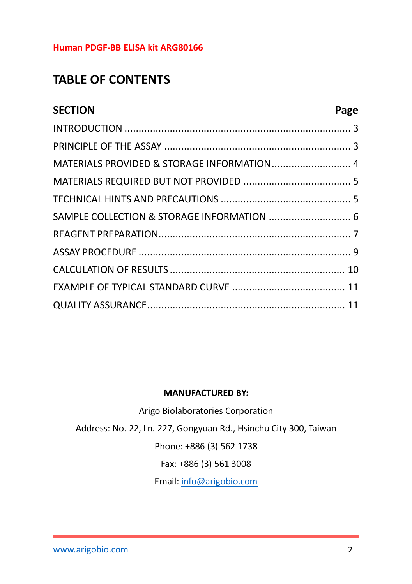#### **Human PDGF-BB ELISA kit ARG80166**

# **TABLE OF CONTENTS**

| <b>SECTION</b>                             | Page |
|--------------------------------------------|------|
|                                            |      |
|                                            |      |
| MATERIALS PROVIDED & STORAGE INFORMATION 4 |      |
|                                            |      |
|                                            |      |
| SAMPLE COLLECTION & STORAGE INFORMATION  6 |      |
|                                            |      |
|                                            |      |
|                                            |      |
|                                            |      |
|                                            |      |

#### **MANUFACTURED BY:**

Arigo Biolaboratories Corporation Address: No. 22, Ln. 227, Gongyuan Rd., Hsinchu City 300, Taiwan Phone: +886 (3) 562 1738 Fax: +886 (3) 561 3008 Email[: info@arigobio.com](mailto:info@arigobio.com)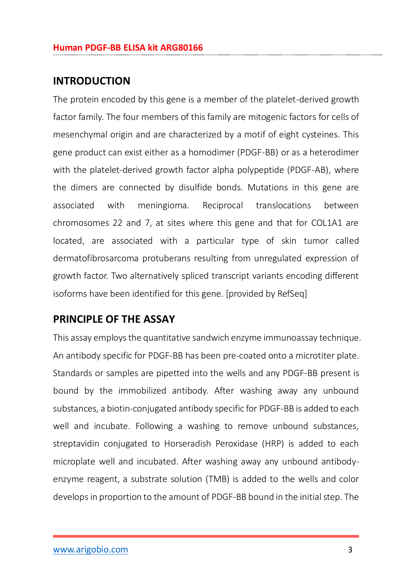#### <span id="page-2-0"></span>**INTRODUCTION**

The protein encoded by this gene is a member of the platelet-derived growth factor family. The four members of this family are mitogenic factors for cells of mesenchymal origin and are characterized by a motif of eight cysteines. This gene product can exist either as a homodimer (PDGF-BB) or as a heterodimer with the platelet-derived growth factor alpha polypeptide (PDGF-AB), where the dimers are connected by disulfide bonds. Mutations in this gene are associated with meningioma. Reciprocal translocations between chromosomes 22 and 7, at sites where this gene and that for COL1A1 are located, are associated with a particular type of skin tumor called dermatofibrosarcoma protuberans resulting from unregulated expression of growth factor. Two alternatively spliced transcript variants encoding different isoforms have been identified for this gene. [provided by RefSeq]

### <span id="page-2-1"></span>**PRINCIPLE OF THE ASSAY**

This assay employs the quantitative sandwich enzyme immunoassay technique. An antibody specific for PDGF-BB has been pre-coated onto a microtiter plate. Standards or samples are pipetted into the wells and any PDGF-BB present is bound by the immobilized antibody. After washing away any unbound substances, a biotin-conjugated antibody specific for PDGF-BB is added to each well and incubate. Following a washing to remove unbound substances, streptavidin conjugated to Horseradish Peroxidase (HRP) is added to each microplate well and incubated. After washing away any unbound antibodyenzyme reagent, a substrate solution (TMB) is added to the wells and color develops in proportion to the amount of PDGF-BB bound in the initial step. The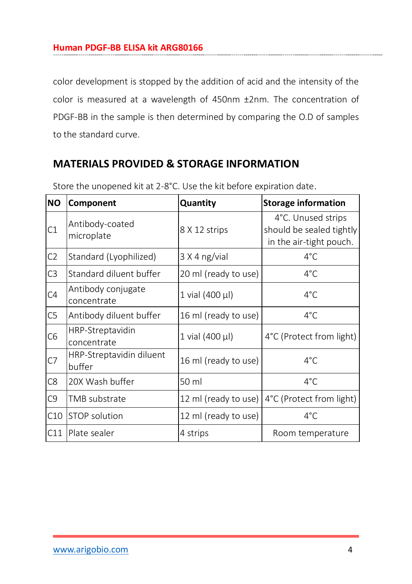color development is stopped by the addition of acid and the intensity of the color is measured at a wavelength of 450nm ±2nm. The concentration of PDGF-BB in the sample is then determined by comparing the O.D of samples to the standard curve.

# <span id="page-3-0"></span>**MATERIALS PROVIDED & STORAGE INFORMATION**

<span id="page-3-1"></span>

| <b>NO</b>      | Component                          | Quantity             | <b>Storage information</b>                                                |
|----------------|------------------------------------|----------------------|---------------------------------------------------------------------------|
| C1             | Antibody-coated<br>microplate      | 8 X 12 strips        | 4°C. Unused strips<br>should be sealed tightly<br>in the air-tight pouch. |
| C <sub>2</sub> | Standard (Lyophilized)             | 3 X 4 ng/vial        | $4^{\circ}$ C                                                             |
| C <sub>3</sub> | Standard diluent buffer            | 20 ml (ready to use) | $4^{\circ}$ C                                                             |
| C4             | Antibody conjugate<br>concentrate  | 1 vial (400 µl)      | $4^{\circ}$ C                                                             |
| C <sub>5</sub> | Antibody diluent buffer            | 16 ml (ready to use) | $4^{\circ}$ C                                                             |
| C <sub>6</sub> | HRP-Streptavidin<br>concentrate    | 1 vial (400 µl)      | 4°C (Protect from light)                                                  |
| C7             | HRP-Streptavidin diluent<br>buffer | 16 ml (ready to use) | $4^{\circ}$ C                                                             |
| C8             | 20X Wash buffer                    | 50 ml                | $4^{\circ}$ C                                                             |
| C9             | TMB substrate                      |                      | 12 ml (ready to use)   4°C (Protect from light)                           |
| C10            | <b>STOP</b> solution               | 12 ml (ready to use) | $4^{\circ}$ C                                                             |
| C11            | Plate sealer                       | 4 strips             | Room temperature                                                          |

Store the unopened kit at 2-8°C. Use the kit before expiration date.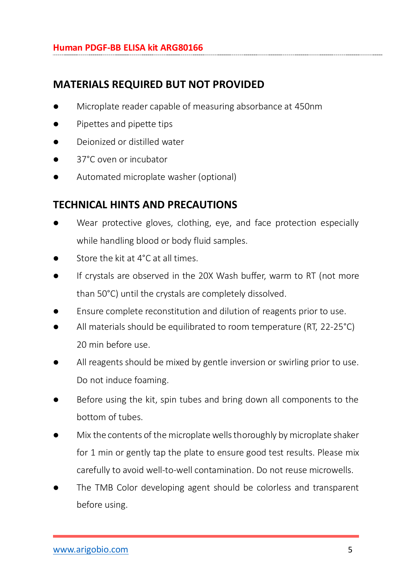# **MATERIALS REQUIRED BUT NOT PROVIDED**

- Microplate reader capable of measuring absorbance at 450nm
- Pipettes and pipette tips
- Deionized or distilled water
- 37°C oven or incubator
- Automated microplate washer (optional)

# <span id="page-4-0"></span>**TECHNICAL HINTS AND PRECAUTIONS**

- Wear protective gloves, clothing, eye, and face protection especially while handling blood or body fluid samples.
- Store the kit at 4°C at all times.
- If crystals are observed in the 20X Wash buffer, warm to RT (not more than 50°C) until the crystals are completely dissolved.
- Ensure complete reconstitution and dilution of reagents prior to use.
- All materials should be equilibrated to room temperature (RT, 22-25°C) 20 min before use.
- All reagents should be mixed by gentle inversion or swirling prior to use. Do not induce foaming.
- Before using the kit, spin tubes and bring down all components to the bottom of tubes.
- Mix the contents of the microplate wells thoroughly by microplate shaker for 1 min or gently tap the plate to ensure good test results. Please mix carefully to avoid well-to-well contamination. Do not reuse microwells.
- The TMB Color developing agent should be colorless and transparent before using.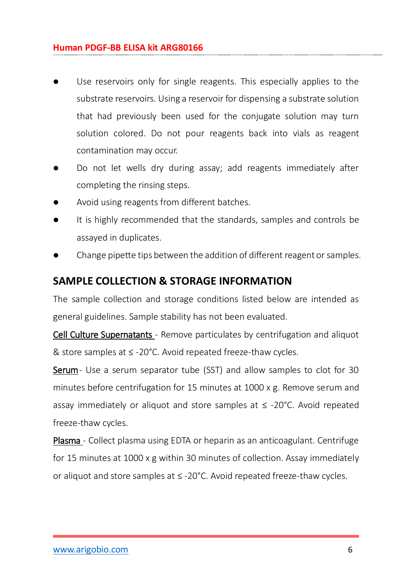#### **Human PDGF-BB ELISA kit ARG80166**

- Use reservoirs only for single reagents. This especially applies to the substrate reservoirs. Using a reservoir for dispensing a substrate solution that had previously been used for the conjugate solution may turn solution colored. Do not pour reagents back into vials as reagent contamination may occur.
- Do not let wells dry during assay; add reagents immediately after completing the rinsing steps.
- Avoid using reagents from different batches.
- It is highly recommended that the standards, samples and controls be assayed in duplicates.
- <span id="page-5-0"></span>Change pipette tips between the addition of different reagent or samples.

#### **SAMPLE COLLECTION & STORAGE INFORMATION**

The sample collection and storage conditions listed below are intended as general guidelines. Sample stability has not been evaluated.

Cell Culture Supernatants - Remove particulates by centrifugation and aliquot & store samples at ≤ -20°C. Avoid repeated freeze-thaw cycles.

Serum- Use a serum separator tube (SST) and allow samples to clot for 30 minutes before centrifugation for 15 minutes at 1000 x g. Remove serum and assay immediately or aliquot and store samples at  $\leq$  -20°C. Avoid repeated freeze-thaw cycles.

Plasma - Collect plasma using EDTA or heparin as an anticoagulant. Centrifuge for 15 minutes at 1000 x g within 30 minutes of collection. Assay immediately or aliquot and store samples at ≤ -20°C. Avoid repeated freeze-thaw cycles.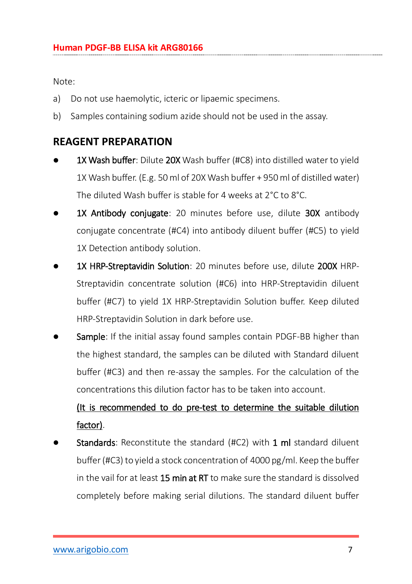Note:

- a) Do not use haemolytic, icteric or lipaemic specimens.
- <span id="page-6-0"></span>b) Samples containing sodium azide should not be used in the assay.

## **REAGENT PREPARATION**

- 1X Wash buffer: Dilute 20X Wash buffer (#C8) into distilled water to vield 1X Wash buffer. (E.g. 50 ml of 20X Wash buffer + 950 ml of distilled water) The diluted Wash buffer is stable for 4 weeks at 2°C to 8°C.
- 1X Antibody conjugate: 20 minutes before use, dilute 30X antibody conjugate concentrate (#C4) into antibody diluent buffer (#C5) to yield 1X Detection antibody solution.
- 1X HRP-Streptavidin Solution: 20 minutes before use, dilute 200X HRP-Streptavidin concentrate solution (#C6) into HRP-Streptavidin diluent buffer (#C7) to yield 1X HRP-Streptavidin Solution buffer. Keep diluted HRP-Streptavidin Solution in dark before use.
- Sample: If the initial assay found samples contain PDGF-BB higher than the highest standard, the samples can be diluted with Standard diluent buffer (#C3) and then re-assay the samples. For the calculation of the concentrations this dilution factor has to be taken into account.

# (It is recommended to do pre-test to determine the suitable dilution factor).

Standards: Reconstitute the standard (#C2) with 1 ml standard diluent buffer (#C3) to yield a stock concentration of 4000 pg/ml. Keep the buffer in the vail for at least 15 min at RT to make sure the standard is dissolved completely before making serial dilutions. The standard diluent buffer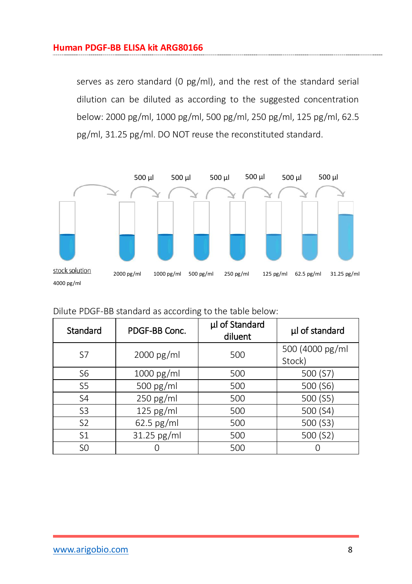serves as zero standard (0 pg/ml), and the rest of the standard serial dilution can be diluted as according to the suggested concentration below: 2000 pg/ml, 1000 pg/ml, 500 pg/ml, 250 pg/ml, 125 pg/ml, 62.5 pg/ml, 31.25 pg/ml. DO NOT reuse the reconstituted standard.



| Dilute PDGF-BB standard as according to the table below: |  |  |  |
|----------------------------------------------------------|--|--|--|
|                                                          |  |  |  |

| Standard       | PDGF-BB Conc. | µl of Standard<br>diluent | µl of standard  |
|----------------|---------------|---------------------------|-----------------|
| S7             | 2000 pg/ml    | 500                       | 500 (4000 pg/ml |
|                |               |                           | Stock)          |
| S <sub>6</sub> | 1000 pg/ml    | 500                       | 500 (S7)        |
| S5             | 500 pg/ml     | 500                       | 500 (S6)        |
| S <sub>4</sub> | $250$ pg/ml   | 500                       | 500 (S5)        |
| S <sub>3</sub> | $125$ pg/ml   | 500                       | 500 (S4)        |
| S <sub>2</sub> | $62.5$ pg/ml  | 500                       | 500 (S3)        |
| S <sub>1</sub> | 31.25 pg/ml   | 500                       | 500 (S2)        |
| S <sub>0</sub> |               | 500                       |                 |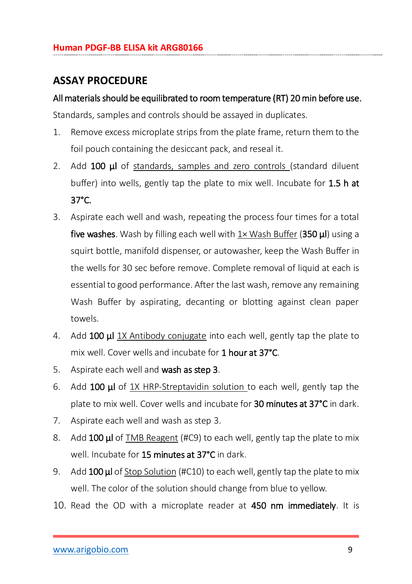## <span id="page-8-0"></span>**ASSAY PROCEDURE**

#### All materials should be equilibrated to room temperature (RT) 20 min before use.

Standards, samples and controls should be assayed in duplicates.

- 1. Remove excess microplate strips from the plate frame, return them to the foil pouch containing the desiccant pack, and reseal it.
- 2. Add 100 **μl** of standards, samples and zero controls (standard diluent buffer) into wells, gently tap the plate to mix well. Incubate for 1.5 h at 37°C.
- 3. Aspirate each well and wash, repeating the process four times for a total five washes. Wash by filling each well with 1× Wash Buffer (350 ul) using a squirt bottle, manifold dispenser, or autowasher, keep the Wash Buffer in the wells for 30 sec before remove. Complete removal of liquid at each is essential to good performance. After the last wash, remove any remaining Wash Buffer by aspirating, decanting or blotting against clean paper towels.
- 4. Add 100 **ul** 1X Antibody conjugate into each well, gently tap the plate to mix well. Cover wells and incubate for 1 hour at 37°C.
- 5. Aspirate each well and wash as step 3.
- 6. Add 100 μl of 1X HRP-Streptavidin solution to each well, gently tap the plate to mix well. Cover wells and incubate for 30 minutes at 37°C in dark.
- 7. Aspirate each well and wash as step 3.
- 8. Add 100 **ul** of TMB Reagent (#C9) to each well, gently tap the plate to mix well. Incubate for 15 minutes at 37°C in dark.
- 9. Add 100 ul of Stop Solution (#C10) to each well, gently tap the plate to mix well. The color of the solution should change from blue to yellow.
- 10. Read the OD with a microplate reader at 450 nm immediately. It is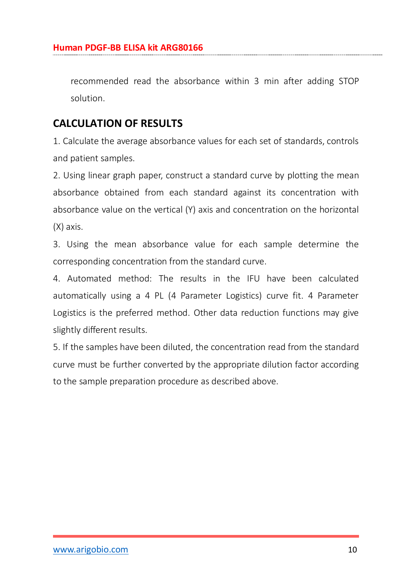recommended read the absorbance within 3 min after adding STOP solution.

## <span id="page-9-0"></span>**CALCULATION OF RESULTS**

1. Calculate the average absorbance values for each set of standards, controls and patient samples.

2. Using linear graph paper, construct a standard curve by plotting the mean absorbance obtained from each standard against its concentration with absorbance value on the vertical (Y) axis and concentration on the horizontal (X) axis.

3. Using the mean absorbance value for each sample determine the corresponding concentration from the standard curve.

4. Automated method: The results in the IFU have been calculated automatically using a 4 PL (4 Parameter Logistics) curve fit. 4 Parameter Logistics is the preferred method. Other data reduction functions may give slightly different results.

5. If the samples have been diluted, the concentration read from the standard curve must be further converted by the appropriate dilution factor according to the sample preparation procedure as described above.